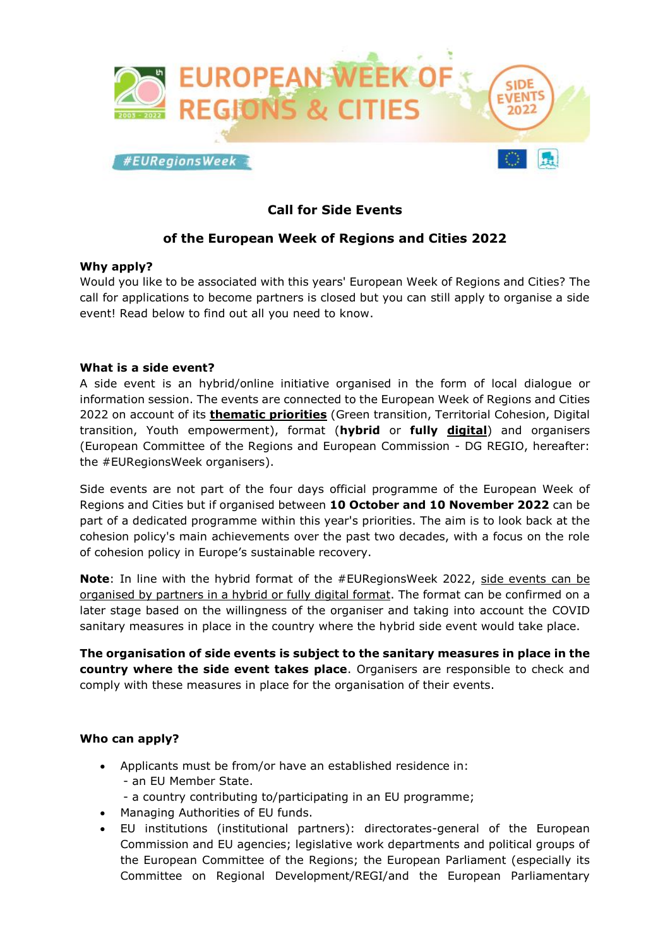

# **Call for Side Events**

## **of the European Week of Regions and Cities 2022**

## **Why apply?**

Would you like to be associated with this years' European Week of Regions and Cities? The call for applications to become partners is closed but you can still apply to organise a side event! Read below to find out all you need to know.

#### **What is a side event?**

A side event is an hybrid/online initiative organised in the form of local dialogue or information session. The events are connected to the European Week of Regions and Cities 2022 on account of its **thematic priorities** (Green transition, Territorial Cohesion, Digital transition, Youth empowerment), format (**hybrid** or **fully digital**) and organisers (European Committee of the Regions and European Commission - DG REGIO, hereafter: the #EURegionsWeek organisers).

Side events are not part of the four days official programme of the European Week of Regions and Cities but if organised between **10 October and 10 November 2022** can be part of a dedicated programme within this year's priorities. The aim is to look back at the cohesion policy's main achievements over the past two decades, with a focus on the role of cohesion policy in Europe's sustainable recovery.

**Note**: In line with the hybrid format of the #EURegionsWeek 2022, side events can be organised by partners in a hybrid or fully digital format. The format can be confirmed on a later stage based on the willingness of the organiser and taking into account the COVID sanitary measures in place in the country where the hybrid side event would take place.

**The organisation of side events is subject to the sanitary measures in place in the country where the side event takes place**. Organisers are responsible to check and comply with these measures in place for the organisation of their events.

## **Who can apply?**

- Applicants must be from/or have an established residence in: - an EU Member State.
	- a country contributing to/participating in an EU programme;
- Managing Authorities of EU funds.
- EU institutions (institutional partners): directorates-general of the European Commission and EU agencies; legislative work departments and political groups of the European Committee of the Regions; the European Parliament (especially its Committee on Regional Development/REGI/and the European Parliamentary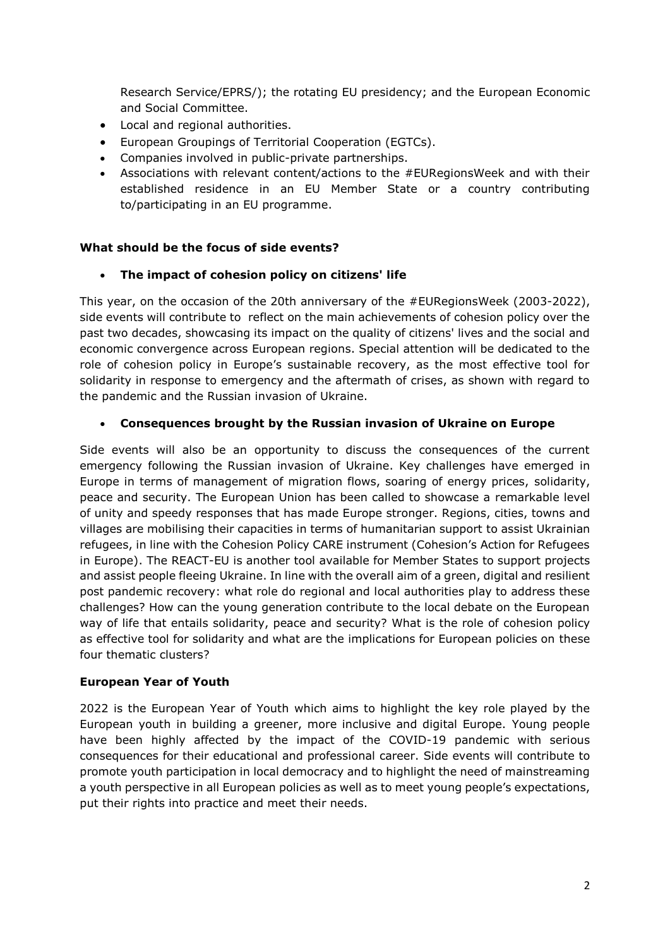Research Service/EPRS/); the rotating EU presidency; and the European Economic and Social Committee.

- Local and regional authorities.
- European Groupings of Territorial Cooperation (EGTCs).
- Companies involved in public-private partnerships.
- Associations with relevant content/actions to the #EURegionsWeek and with their established residence in an EU Member State or a country contributing to/participating in an EU programme.

## **What should be the focus of side events?**

## **The impact of cohesion policy on citizens' life**

This year, on the occasion of the 20th anniversary of the #EURegionsWeek (2003-2022), side events will contribute to reflect on the main achievements of cohesion policy over the past two decades, showcasing its impact on the quality of citizens' lives and the social and economic convergence across European regions. Special attention will be dedicated to the role of cohesion policy in Europe's sustainable recovery, as the most effective tool for solidarity in response to emergency and the aftermath of crises, as shown with regard to the pandemic and the Russian invasion of Ukraine.

## **Consequences brought by the Russian invasion of Ukraine on Europe**

Side events will also be an opportunity to discuss the consequences of the current emergency following the Russian invasion of Ukraine. Key challenges have emerged in Europe in terms of management of migration flows, soaring of energy prices, solidarity, peace and security. The European Union has been called to showcase a remarkable level of unity and speedy responses that has made Europe stronger. Regions, cities, towns and villages are mobilising their capacities in terms of humanitarian support to assist Ukrainian refugees, in line with the Cohesion Policy CARE instrument (Cohesion's Action for Refugees in Europe). The REACT-EU is another tool available for Member States to support projects and assist people fleeing Ukraine. In line with the overall aim of a green, digital and resilient post pandemic recovery: what role do regional and local authorities play to address these challenges? How can the young generation contribute to the local debate on the European way of life that entails solidarity, peace and security? What is the role of cohesion policy as effective tool for solidarity and what are the implications for European policies on these four thematic clusters?

## **European Year of Youth**

2022 is the European Year of Youth which aims to highlight the key role played by the European youth in building a greener, more inclusive and digital Europe. Young people have been highly affected by the impact of the COVID-19 pandemic with serious consequences for their educational and professional career. Side events will contribute to promote youth participation in local democracy and to highlight the need of mainstreaming a youth perspective in all European policies as well as to meet young people's expectations, put their rights into practice and meet their needs.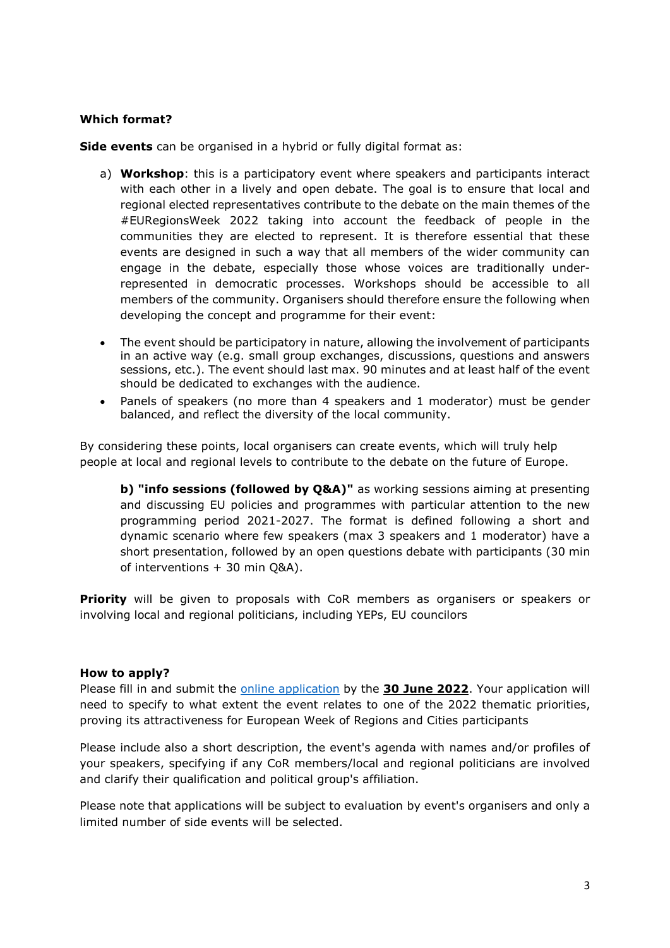#### **Which format?**

**Side events** can be organised in a hybrid or fully digital format as:

- a) **Workshop**: this is a participatory event where speakers and participants interact with each other in a lively and open debate. The goal is to ensure that local and regional elected representatives contribute to the debate on the main themes of the #EURegionsWeek 2022 taking into account the feedback of people in the communities they are elected to represent. It is therefore essential that these events are designed in such a way that all members of the wider community can engage in the debate, especially those whose voices are traditionally underrepresented in democratic processes. Workshops should be accessible to all members of the community. Organisers should therefore ensure the following when developing the concept and programme for their event:
- The event should be participatory in nature, allowing the involvement of participants in an active way (e.g. small group exchanges, discussions, questions and answers sessions, etc.). The event should last max. 90 minutes and at least half of the event should be dedicated to exchanges with the audience.
- Panels of speakers (no more than 4 speakers and 1 moderator) must be gender balanced, and reflect the diversity of the local community.

By considering these points, local organisers can create events, which will truly help people at local and regional levels to contribute to the debate on the future of Europe.

**b) "info sessions (followed by O&A)"** as working sessions aiming at presenting and discussing EU policies and programmes with particular attention to the new programming period 2021-2027. The format is defined following a short and dynamic scenario where few speakers (max 3 speakers and 1 moderator) have a short presentation, followed by an open questions debate with participants (30 min of interventions + 30 min Q&A).

**Priority** will be given to proposals with CoR members as organisers or speakers or involving local and regional politicians, including YEPs, EU councilors

#### **How to apply?**

Please fill in and submit the online [application](https://ec.europa.eu/eusurvey/runner/EURegionsWeek_SideEvents2022) by the **30 June 2022**. Your application will need to specify to what extent the event relates to one of the 2022 thematic priorities, proving its attractiveness for European Week of Regions and Cities participants

Please include also a short description, the event's agenda with names and/or profiles of your speakers, specifying if any CoR members/local and regional politicians are involved and clarify their qualification and political group's affiliation.

Please note that applications will be subject to evaluation by event's organisers and only a limited number of side events will be selected.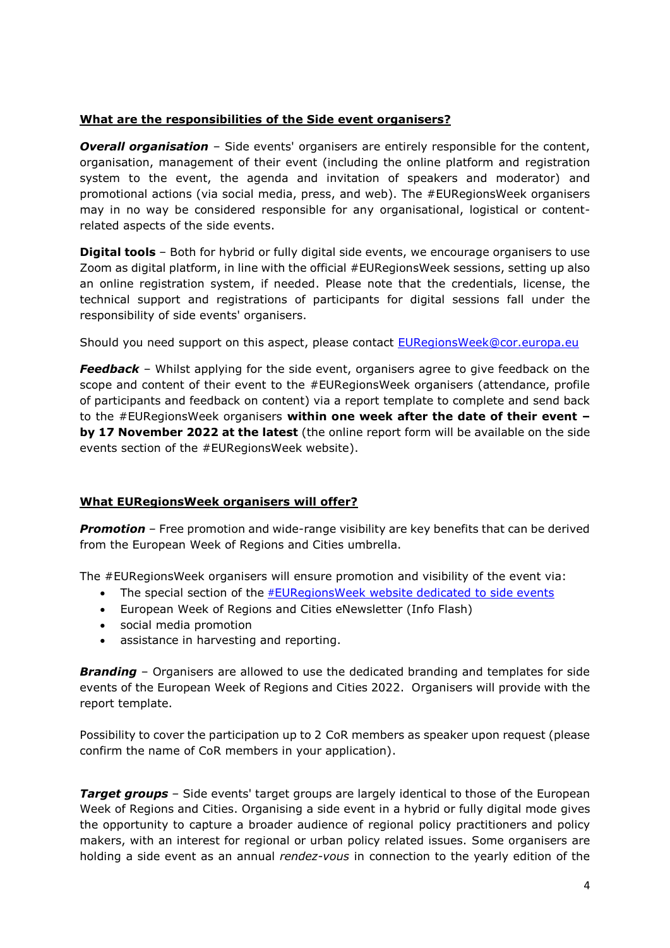## **What are the responsibilities of the Side event organisers?**

*Overall organisation* – Side events' organisers are entirely responsible for the content, organisation, management of their event (including the online platform and registration system to the event, the agenda and invitation of speakers and moderator) and promotional actions (via social media, press, and web). The #EURegionsWeek organisers may in no way be considered responsible for any organisational, logistical or contentrelated aspects of the side events.

**Digital tools** – Both for hybrid or fully digital side events, we encourage organisers to use Zoom as digital platform, in line with the official #EURegionsWeek sessions, setting up also an online registration system, if needed. Please note that the credentials, license, the technical support and registrations of participants for digital sessions fall under the responsibility of side events' organisers.

Should you need support on this aspect, please contact [EURegionsWeek@cor.europa.eu](mailto:EURegionsWeek@cor.europa.eu)

*Feedback* – Whilst applying for the side event, organisers agree to give feedback on the scope and content of their event to the #EURegionsWeek organisers (attendance, profile of participants and feedback on content) via a report template to complete and send back to the #EURegionsWeek organisers **within one week after the date of their event – by 17 November 2022 at the latest** (the online report form will be available on the side events section of the #EURegionsWeek website).

## **What EURegionsWeek organisers will offer?**

**Promotion** – Free promotion and wide-range visibility are key benefits that can be derived from the European Week of Regions and Cities umbrella.

The #EURegionsWeek organisers will ensure promotion and visibility of the event via:

- The special section of the #[EURegionsWeek website dedicated to side events](https://europa.eu/regions-and-cities/side-events)
- European Week of Regions and Cities eNewsletter (Info Flash)
- social media promotion
- assistance in harvesting and reporting.

**Branding** – Organisers are allowed to use the dedicated branding and templates for side events of the European Week of Regions and Cities 2022. Organisers will provide with the report template.

Possibility to cover the participation up to 2 CoR members as speaker upon request (please confirm the name of CoR members in your application).

**Target groups** - Side events' target groups are largely identical to those of the European Week of Regions and Cities. Organising a side event in a hybrid or fully digital mode gives the opportunity to capture a broader audience of regional policy practitioners and policy makers, with an interest for regional or urban policy related issues. Some organisers are holding a side event as an annual *rendez-vous* in connection to the yearly edition of the